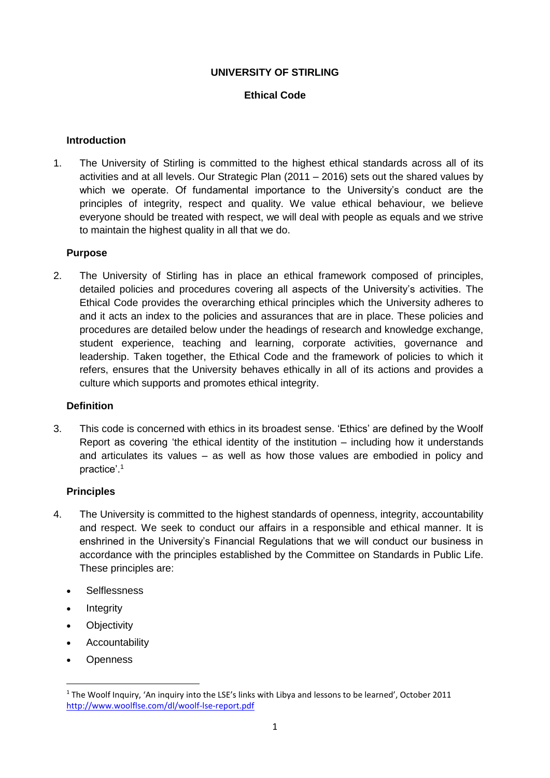# **UNIVERSITY OF STIRLING**

# **Ethical Code**

## **Introduction**

1. The University of Stirling is committed to the highest ethical standards across all of its activities and at all levels. Our Strategic Plan (2011 – 2016) sets out the shared values by which we operate. Of fundamental importance to the University's conduct are the principles of integrity, respect and quality. We value ethical behaviour, we believe everyone should be treated with respect, we will deal with people as equals and we strive to maintain the highest quality in all that we do.

### **Purpose**

2. The University of Stirling has in place an ethical framework composed of principles, detailed policies and procedures covering all aspects of the University's activities. The Ethical Code provides the overarching ethical principles which the University adheres to and it acts an index to the policies and assurances that are in place. These policies and procedures are detailed below under the headings of research and knowledge exchange, student experience, teaching and learning, corporate activities, governance and leadership. Taken together, the Ethical Code and the framework of policies to which it refers, ensures that the University behaves ethically in all of its actions and provides a culture which supports and promotes ethical integrity.

### **Definition**

3. This code is concerned with ethics in its broadest sense. 'Ethics' are defined by the Woolf Report as covering 'the ethical identity of the institution – including how it understands and articulates its values – as well as how those values are embodied in policy and practice'.<sup>1</sup>

# **Principles**

- 4. The University is committed to the highest standards of openness, integrity, accountability and respect. We seek to conduct our affairs in a responsible and ethical manner. It is enshrined in the University's Financial Regulations that we will conduct our business in accordance with the principles established by the Committee on Standards in Public Life. These principles are:
	- **Selflessness**
	- Integrity
	- Objectivity
	- Accountability
	- **Openness**

**.** 

<sup>1</sup> The Woolf Inquiry, 'An inquiry into the LSE's links with Libya and lessons to be learned', October 2011 <http://www.woolflse.com/dl/woolf-lse-report.pdf>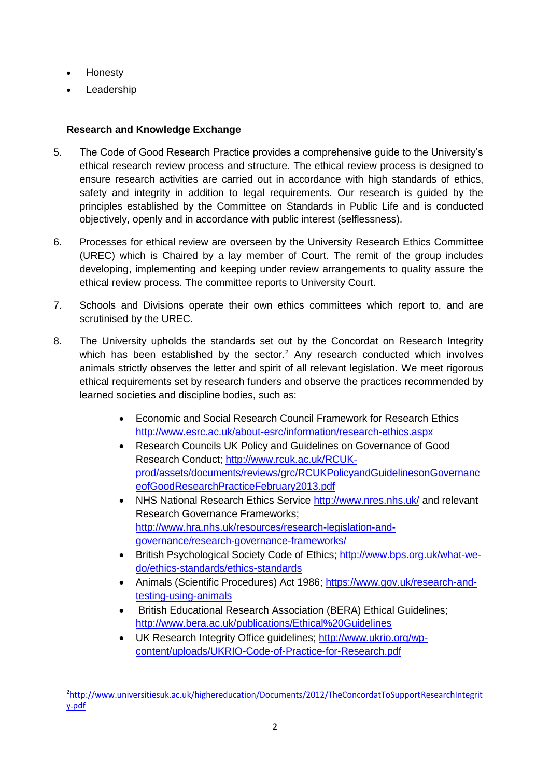• Honesty

**.** 

• Leadership

# **Research and Knowledge Exchange**

- 5. The Code of Good Research Practice provides a comprehensive guide to the University's ethical research review process and structure. The ethical review process is designed to ensure research activities are carried out in accordance with high standards of ethics, safety and integrity in addition to legal requirements. Our research is guided by the principles established by the Committee on Standards in Public Life and is conducted objectively, openly and in accordance with public interest (selflessness).
- 6. Processes for ethical review are overseen by the University Research Ethics Committee (UREC) which is Chaired by a lay member of Court. The remit of the group includes developing, implementing and keeping under review arrangements to quality assure the ethical review process. The committee reports to University Court.
- 7. Schools and Divisions operate their own ethics committees which report to, and are scrutinised by the UREC.
- 8. The University upholds the standards set out by the Concordat on Research Integrity which has been established by the sector.<sup>2</sup> Any research conducted which involves animals strictly observes the letter and spirit of all relevant legislation. We meet rigorous ethical requirements set by research funders and observe the practices recommended by learned societies and discipline bodies, such as:
	- Economic and Social Research Council Framework for Research Ethics <http://www.esrc.ac.uk/about-esrc/information/research-ethics.aspx>
	- Research Councils UK Policy and Guidelines on Governance of Good Research Conduct; [http://www.rcuk.ac.uk/RCUK](http://www.rcuk.ac.uk/RCUK-prod/assets/documents/reviews/grc/RCUKPolicyandGuidelinesonGovernanceofGoodResearchPracticeFebruary2013.pdf)[prod/assets/documents/reviews/grc/RCUKPolicyandGuidelinesonGovernanc](http://www.rcuk.ac.uk/RCUK-prod/assets/documents/reviews/grc/RCUKPolicyandGuidelinesonGovernanceofGoodResearchPracticeFebruary2013.pdf) [eofGoodResearchPracticeFebruary2013.pdf](http://www.rcuk.ac.uk/RCUK-prod/assets/documents/reviews/grc/RCUKPolicyandGuidelinesonGovernanceofGoodResearchPracticeFebruary2013.pdf)
	- NHS National Research Ethics Service<http://www.nres.nhs.uk/> and relevant Research Governance Frameworks; [http://www.hra.nhs.uk/resources/research-legislation-and](http://www.hra.nhs.uk/resources/research-legislation-and-governance/research-governance-frameworks/)[governance/research-governance-frameworks/](http://www.hra.nhs.uk/resources/research-legislation-and-governance/research-governance-frameworks/)
	- British Psychological Society Code of Ethics; [http://www.bps.org.uk/what-we](http://www.bps.org.uk/what-we-do/ethics-standards/ethics-standards)[do/ethics-standards/ethics-standards](http://www.bps.org.uk/what-we-do/ethics-standards/ethics-standards)
	- Animals (Scientific Procedures) Act 1986; [https://www.gov.uk/research-and](https://www.gov.uk/research-and-testing-using-animals)[testing-using-animals](https://www.gov.uk/research-and-testing-using-animals)
	- British Educational Research Association (BERA) Ethical Guidelines; <http://www.bera.ac.uk/publications/Ethical%20Guidelines>
	- UK Research Integrity Office guidelines; [http://www.ukrio.org/wp](http://www.ukrio.org/wp-content/uploads/UKRIO-Code-of-Practice-for-Research.pdf)[content/uploads/UKRIO-Code-of-Practice-for-Research.pdf](http://www.ukrio.org/wp-content/uploads/UKRIO-Code-of-Practice-for-Research.pdf)

<sup>2</sup>[http://www.universitiesuk.ac.uk/highereducation/Documents/2012/TheConcordatToSupportResearchIntegrit](http://www.universitiesuk.ac.uk/highereducation/Documents/2012/TheConcordatToSupportResearchIntegrity.pdf) [y.pdf](http://www.universitiesuk.ac.uk/highereducation/Documents/2012/TheConcordatToSupportResearchIntegrity.pdf)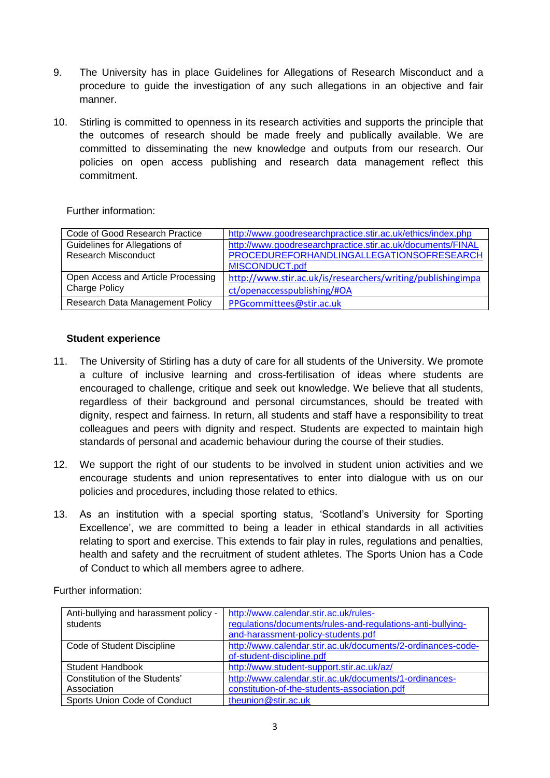- 9. The University has in place Guidelines for Allegations of Research Misconduct and a procedure to guide the investigation of any such allegations in an objective and fair manner.
- 10. Stirling is committed to openness in its research activities and supports the principle that the outcomes of research should be made freely and publically available. We are committed to disseminating the new knowledge and outputs from our research. Our policies on open access publishing and research data management reflect this commitment.

Further information:

| Code of Good Research Practice     | http://www.goodresearchpractice.stir.ac.uk/ethics/index.php |
|------------------------------------|-------------------------------------------------------------|
| Guidelines for Allegations of      | http://www.goodresearchpractice.stir.ac.uk/documents/FINAL  |
| <b>Research Misconduct</b>         | PROCEDUREFORHANDLINGALLEGATIONSOFRESEARCH                   |
|                                    | MISCONDUCT.pdf                                              |
| Open Access and Article Processing | http://www.stir.ac.uk/is/researchers/writing/publishingimpa |
| <b>Charge Policy</b>               | ct/openaccesspublishing/#OA                                 |
| Research Data Management Policy    | PPGcommittees@stir.ac.uk                                    |

## **Student experience**

- 11. The University of Stirling has a duty of care for all students of the University. We promote a culture of inclusive learning and cross-fertilisation of ideas where students are encouraged to challenge, critique and seek out knowledge. We believe that all students, regardless of their background and personal circumstances, should be treated with dignity, respect and fairness. In return, all students and staff have a responsibility to treat colleagues and peers with dignity and respect. Students are expected to maintain high standards of personal and academic behaviour during the course of their studies.
- 12. We support the right of our students to be involved in student union activities and we encourage students and union representatives to enter into dialogue with us on our policies and procedures, including those related to ethics.
- 13. As an institution with a special sporting status, 'Scotland's University for Sporting Excellence', we are committed to being a leader in ethical standards in all activities relating to sport and exercise. This extends to fair play in rules, regulations and penalties, health and safety and the recruitment of student athletes. The Sports Union has a Code of Conduct to which all members agree to adhere.

| Anti-bullying and harassment policy - | http://www.calendar.stir.ac.uk/rules-                       |
|---------------------------------------|-------------------------------------------------------------|
| students                              | regulations/documents/rules-and-regulations-anti-bullying-  |
|                                       | and-harassment-policy-students.pdf                          |
| Code of Student Discipline            | http://www.calendar.stir.ac.uk/documents/2-ordinances-code- |
|                                       | of-student-discipline.pdf                                   |
| Student Handbook                      | http://www.student-support.stir.ac.uk/az/                   |
| Constitution of the Students'         | http://www.calendar.stir.ac.uk/documents/1-ordinances-      |
| Association                           | constitution-of-the-students-association.pdf                |
| Sports Union Code of Conduct          | theunion@stir.ac.uk                                         |

Further information: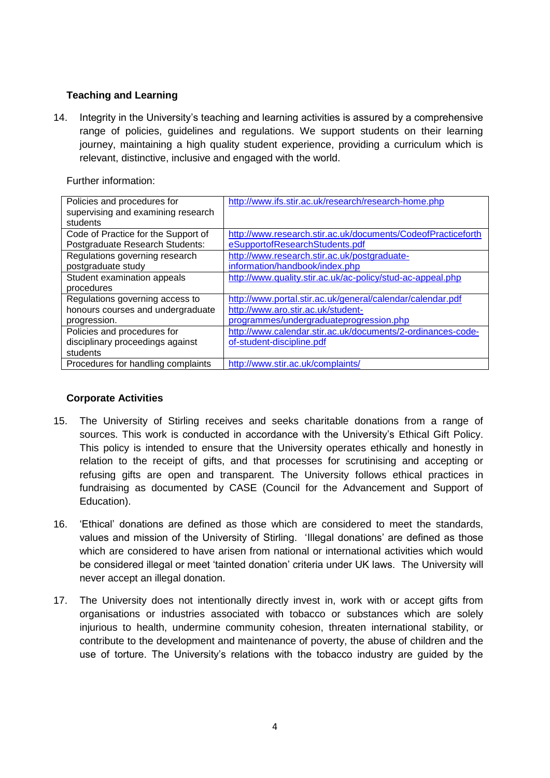# **Teaching and Learning**

14. Integrity in the University's teaching and learning activities is assured by a comprehensive range of policies, guidelines and regulations. We support students on their learning journey, maintaining a high quality student experience, providing a curriculum which is relevant, distinctive, inclusive and engaged with the world.

| Policies and procedures for         | http://www.ifs.stir.ac.uk/research/research-home.php         |
|-------------------------------------|--------------------------------------------------------------|
| supervising and examining research  |                                                              |
| students                            |                                                              |
| Code of Practice for the Support of | http://www.research.stir.ac.uk/documents/CodeofPracticeforth |
| Postgraduate Research Students:     | eSupportofResearchStudents.pdf                               |
| Regulations governing research      | http://www.research.stir.ac.uk/postgraduate-                 |
| postgraduate study                  | information/handbook/index.php                               |
| Student examination appeals         | http://www.quality.stir.ac.uk/ac-policy/stud-ac-appeal.php   |
| procedures                          |                                                              |
| Regulations governing access to     | http://www.portal.stir.ac.uk/general/calendar/calendar.pdf   |
| honours courses and undergraduate   | http://www.aro.stir.ac.uk/student-                           |
| progression.                        | programmes/undergraduateprogression.php                      |
| Policies and procedures for         | http://www.calendar.stir.ac.uk/documents/2-ordinances-code-  |
| disciplinary proceedings against    | of-student-discipline.pdf                                    |
| students                            |                                                              |
| Procedures for handling complaints  | http://www.stir.ac.uk/complaints/                            |

### **Corporate Activities**

- 15. The University of Stirling receives and seeks charitable donations from a range of sources. This work is conducted in accordance with the University's Ethical Gift Policy. This policy is intended to ensure that the University operates ethically and honestly in relation to the receipt of gifts, and that processes for scrutinising and accepting or refusing gifts are open and transparent. The University follows ethical practices in fundraising as documented by CASE (Council for the Advancement and Support of Education).
- 16. 'Ethical' donations are defined as those which are considered to meet the standards, values and mission of the University of Stirling. 'Illegal donations' are defined as those which are considered to have arisen from national or international activities which would be considered illegal or meet 'tainted donation' criteria under UK laws. The University will never accept an illegal donation.
- 17. The University does not intentionally directly invest in, work with or accept gifts from organisations or industries associated with tobacco or substances which are solely injurious to health, undermine community cohesion, threaten international stability, or contribute to the development and maintenance of poverty, the abuse of children and the use of torture. The University's relations with the tobacco industry are guided by the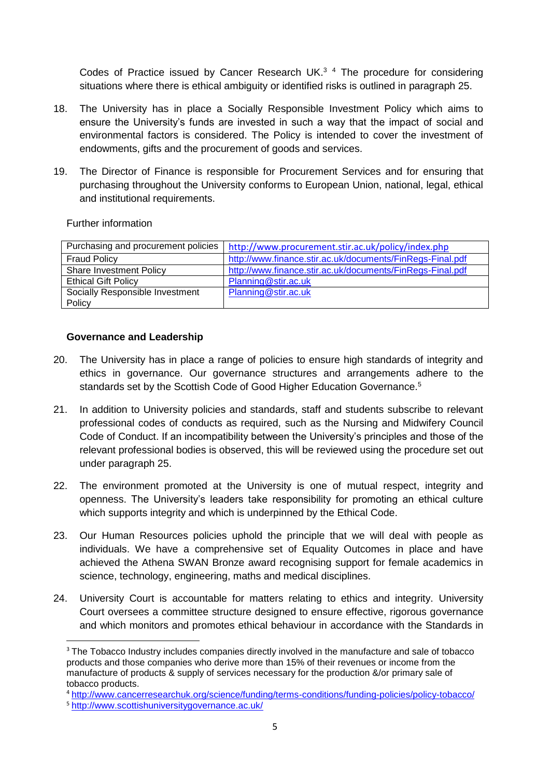Codes of Practice issued by Cancer Research UK.<sup>3</sup> 4 The procedure for considering situations where there is ethical ambiguity or identified risks is outlined in paragraph 25.

- 18. The University has in place a Socially Responsible Investment Policy which aims to ensure the University's funds are invested in such a way that the impact of social and environmental factors is considered. The Policy is intended to cover the investment of endowments, gifts and the procurement of goods and services.
- 19. The Director of Finance is responsible for Procurement Services and for ensuring that purchasing throughout the University conforms to European Union, national, legal, ethical and institutional requirements.

Further information

| Purchasing and procurement policies | http://www.procurement.stir.ac.uk/policy/index.php        |
|-------------------------------------|-----------------------------------------------------------|
| <b>Fraud Policy</b>                 | http://www.finance.stir.ac.uk/documents/FinRegs-Final.pdf |
| <b>Share Investment Policy</b>      | http://www.finance.stir.ac.uk/documents/FinRegs-Final.pdf |
| <b>Ethical Gift Policy</b>          | Planning@stir.ac.uk                                       |
| Socially Responsible Investment     | Planning@stir.ac.uk                                       |
| Policy                              |                                                           |

## **Governance and Leadership**

- 20. The University has in place a range of policies to ensure high standards of integrity and ethics in governance. Our governance structures and arrangements adhere to the standards set by the Scottish Code of Good Higher Education Governance.<sup>5</sup>
- 21. In addition to University policies and standards, staff and students subscribe to relevant professional codes of conducts as required, such as the Nursing and Midwifery Council Code of Conduct. If an incompatibility between the University's principles and those of the relevant professional bodies is observed, this will be reviewed using the procedure set out under paragraph 25.
- 22. The environment promoted at the University is one of mutual respect, integrity and openness. The University's leaders take responsibility for promoting an ethical culture which supports integrity and which is underpinned by the Ethical Code.
- 23. Our Human Resources policies uphold the principle that we will deal with people as individuals. We have a comprehensive set of Equality Outcomes in place and have achieved the Athena SWAN Bronze award recognising support for female academics in science, technology, engineering, maths and medical disciplines.
- 24. University Court is accountable for matters relating to ethics and integrity. University Court oversees a committee structure designed to ensure effective, rigorous governance and which monitors and promotes ethical behaviour in accordance with the Standards in

 $\overline{\phantom{a}}$ 

<sup>&</sup>lt;sup>3</sup> The Tobacco Industry includes companies directly involved in the manufacture and sale of tobacco products and those companies who derive more than 15% of their revenues or income from the manufacture of products & supply of services necessary for the production &/or primary sale of tobacco products.

<sup>4</sup> <http://www.cancerresearchuk.org/science/funding/terms-conditions/funding-policies/policy-tobacco/>

<sup>5</sup> <http://www.scottishuniversitygovernance.ac.uk/>